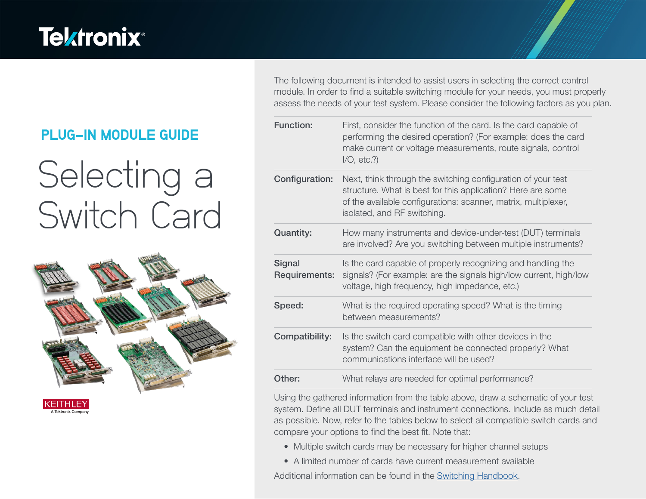# **Tektronix®**

### PLUG-IN MODULE GUIDE

# Selecting a Switch Card



KEITHLEY

The following document is intended to assist users in selecting the correct control module. In order to find a suitable switching module for your needs, you must properly assess the needs of your test system. Please consider the following factors as you plan.

| <b>Function:</b>               | First, consider the function of the card. Is the card capable of<br>performing the desired operation? (For example: does the card<br>make current or voltage measurements, route signals, control<br>$I/O$ , etc.?)          |
|--------------------------------|------------------------------------------------------------------------------------------------------------------------------------------------------------------------------------------------------------------------------|
| Configuration:                 | Next, think through the switching configuration of your test<br>structure. What is best for this application? Here are some<br>of the available configurations: scanner, matrix, multiplexer,<br>isolated, and RF switching. |
| <b>Quantity:</b>               | How many instruments and device-under-test (DUT) terminals<br>are involved? Are you switching between multiple instruments?                                                                                                  |
| <b>Signal</b><br>Requirements: | Is the card capable of properly recognizing and handling the<br>signals? (For example: are the signals high/low current, high/low<br>voltage, high frequency, high impedance, etc.)                                          |
| Speed:                         | What is the required operating speed? What is the timing<br>between measurements?                                                                                                                                            |
| Compatibility:                 | Is the switch card compatible with other devices in the<br>system? Can the equipment be connected properly? What<br>communications interface will be used?                                                                   |
| Other:                         | What relays are needed for optimal performance?                                                                                                                                                                              |

Using the gathered information from the table above, draw a schematic of your test system. Define all DUT terminals and instrument connections. Include as much detail as possible. Now, refer to the tables below to select all compatible switch cards and compare your options to find the best fit. Note that:

- Multiple switch cards may be necessary for higher channel setups
- A limited number of cards have current measurement available

Additional information can be found in the [Switching Handbook.](https://www.tek.com/en/documents/product-article/switching-handbook)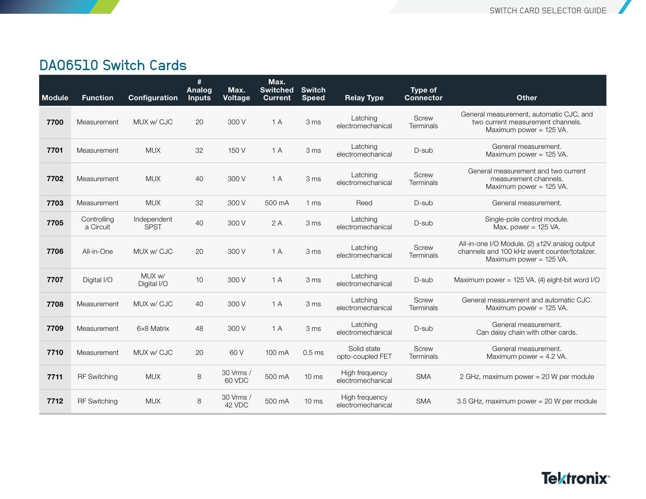#### DAQ6510 Switch Cards

| <b>Module</b> | <b>Function</b>          | Configuration              | #<br>Analog<br><b>Inputs</b> | Max.<br><b>Voltage</b> | Max.<br><b>Switched</b><br><b>Current</b> | <b>Switch</b><br><b>Speed</b> | <b>Relay Type</b>                   | Type of<br><b>Connector</b>      | <b>Other</b>                                                                                                              |
|---------------|--------------------------|----------------------------|------------------------------|------------------------|-------------------------------------------|-------------------------------|-------------------------------------|----------------------------------|---------------------------------------------------------------------------------------------------------------------------|
| 7700          | Measurement              | MUX w/ CJC                 | 20                           | 300 V                  | 1 A                                       | 3 ms                          | Latching<br>electromechanical       | Screw<br>Terminals               | General measurement, automatic CJC, and<br>two current measurement channels.<br>Maximum power = 125 VA.                   |
| 7701          | Measurement              | <b>MUX</b>                 | 32                           | 150 V                  | 1A                                        | 3 ms                          | Latching<br>electromechanical       | D-sub                            | General measurement.<br>Maximum power = 125 VA.                                                                           |
| 7702          | Measurement              | <b>MUX</b>                 | 40                           | 300 V                  | 1A                                        | 3 ms                          | Latching<br>electromechanical       | <b>Screw</b><br>Terminals        | General measurement and two current<br>measurement channels.<br>Maximum power $= 125$ VA.                                 |
| 7703          | Measurement              | <b>MUX</b>                 | 32                           | 300 V                  | 500 mA                                    | 1 <sub>ms</sub>               | Reed                                | D-sub                            | General measurement.                                                                                                      |
| 7705          | Controlling<br>a Circuit | Independent<br><b>SPST</b> | 40                           | 300 V                  | 2A                                        | 3 ms                          | Latching<br>electromechanical       | D-sub                            | Single-pole control module.<br>Max. power = $125$ VA.                                                                     |
| 7706          | All-in-One               | MUX w/ CJC                 | 20                           | 300 V                  | 1A                                        | 3 ms                          | Latching<br>electromechanical       | <b>Screw</b><br>Terminals        | All-in-one I/O Module. (2) ±12V analog output<br>channels and 100 kHz event counter/totalizer.<br>Maximum power = 125 VA. |
| 7707          | Digital I/O              | MUX w/<br>Digital I/O      | 10                           | 300 V                  | 1 A                                       | 3 ms                          | Latching<br>electromechanical       | D-sub                            | Maximum power = 125 VA. (4) eight-bit word I/O                                                                            |
| 7708          | Measurement              | MUX w/ CJC                 | 40                           | 300 V                  | 1A                                        | 3 ms                          | Latching<br>electromechanical       | <b>Screw</b><br><b>Terminals</b> | General measurement and automatic CJC.<br>Maximum power = 125 VA.                                                         |
| 7709          | Measurement              | 6×8 Matrix                 | 48                           | 300 V                  | 1A                                        | 3 ms                          | Latching<br>electromechanical       | D-sub                            | General measurement.<br>Can daisy chain with other cards.                                                                 |
| 7710          | Measurement              | MUX w/ CJC                 | 20                           | 60 V                   | 100 mA                                    | 0.5 <sub>ms</sub>             | Solid state<br>opto-coupled FET     | Screw<br>Terminals               | General measurement.<br>Maximum power = $4.2$ VA.                                                                         |
| 7711          | <b>RF Switching</b>      | <b>MUX</b>                 | 8                            | 30 Vrms /<br>60 VDC    | 500 mA                                    | 10 <sub>ms</sub>              | High frequency<br>electromechanical | <b>SMA</b>                       | 2 GHz, maximum power = 20 W per module                                                                                    |
| 7712          | <b>RF Switching</b>      | <b>MUX</b>                 | 8                            | 30 Vrms /<br>42 VDC    | 500 mA                                    | 10 <sub>ms</sub>              | High frequency<br>electromechanical | <b>SMA</b>                       | 3.5 GHz, maximum power = 20 W per module                                                                                  |

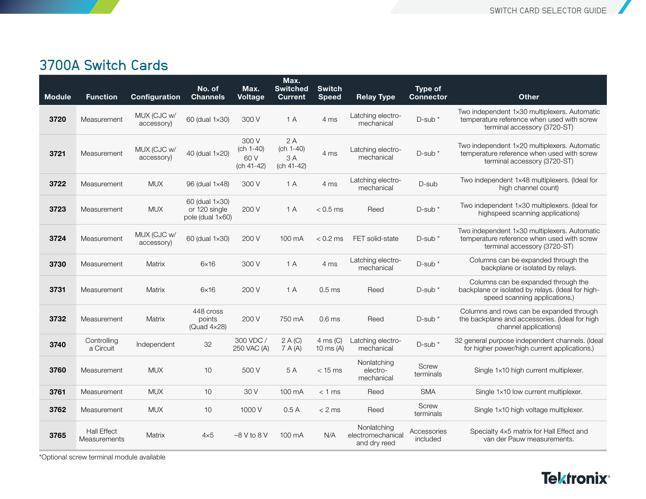#### 3700A Switch Cards

| <b>Module</b> | <b>Function</b>                    | Configuration             | No. of<br><b>Channels</b>                           | Max.<br><b>Voltage</b>                     | Max.<br><b>Switched</b><br><b>Current</b> | <b>Switch</b><br><b>Speed</b>     | <b>Relay Type</b>                                | Type of<br><b>Connector</b> | <b>Other</b>                                                                                                               |
|---------------|------------------------------------|---------------------------|-----------------------------------------------------|--------------------------------------------|-------------------------------------------|-----------------------------------|--------------------------------------------------|-----------------------------|----------------------------------------------------------------------------------------------------------------------------|
| 3720          | Measurement                        | MUX (CJC w/<br>accessory) | 60 (dual 1×30)                                      | 300 V                                      | 1A                                        | 4 ms                              | Latching electro-<br>mechanical                  | D-sub *                     | Two independent 1×30 multiplexers. Automatic<br>temperature reference when used with screw<br>terminal accessory (3720-ST) |
| 3721          | Measurement                        | MUX (CJC w/<br>accessory) | 40 (dual 1×20)                                      | 300 V<br>$(ch 1-40)$<br>60 V<br>(ch 41-42) | 2A<br>$(ch 1-40)$<br>3 A<br>(ch 41-42)    | 4 ms                              | Latching electro-<br>mechanical                  | $D$ -sub $*$                | Two independent 1×20 multiplexers. Automatic<br>temperature reference when used with screw<br>terminal accessory (3720-ST) |
| 3722          | Measurement                        | <b>MUX</b>                | 96 (dual 1×48)                                      | 300 V                                      | 1A                                        | 4 ms                              | Latching electro-<br>mechanical                  | D-sub                       | Two independent 1x48 multiplexers. (Ideal for<br>high channel count)                                                       |
| 3723          | Measurement                        | <b>MUX</b>                | 60 (dual 1×30)<br>or 120 single<br>pole (dual 1×60) | 200 V                                      | 1A                                        | $< 0.5$ ms                        | Reed                                             | D-sub *                     | Two independent 1x30 multiplexers. (Ideal for<br>highspeed scanning applications)                                          |
| 3724          | Measurement                        | MUX (CJC w/<br>accessory) | 60 (dual 1×30)                                      | 200 V                                      | 100 mA                                    | $< 0.2$ ms                        | FET solid-state                                  | $D$ -sub $*$                | Two independent 1×30 multiplexers. Automatic<br>temperature reference when used with screw<br>terminal accessory (3720-ST) |
| 3730          | Measurement                        | Matrix                    | $6\times16$                                         | 300 V                                      | 1A                                        | 4 ms                              | Latching electro-<br>mechanical                  | D-sub *                     | Columns can be expanded through the<br>backplane or isolated by relays.                                                    |
| 3731          | Measurement                        | Matrix                    | $6\times16$                                         | 200 V                                      | 1A                                        | $0.5$ ms                          | Reed                                             | $D$ -sub $*$                | Columns can be expanded through the<br>backplane or isolated by relays. (Ideal for high-<br>speed scanning applications.)  |
| 3732          | Measurement                        | Matrix                    | 448 cross<br>points<br>(Quad $4\times28$ )          | 200 V                                      | 750 mA                                    | 0.6 <sub>ms</sub>                 | Reed                                             | D-sub *                     | Columns and rows can be expanded through<br>the backplane and accessories. (Ideal for high<br>channel applications)        |
| 3740          | Controlling<br>a Circuit           | Independent               | 32                                                  | 300 VDC /<br>250 VAC (A)                   | 2 A (C)<br>7 A (A)                        | $4 \text{ ms} (C)$<br>10 ms $(A)$ | Latching electro-<br>mechanical                  | $D$ -sub $*$                | 32 general purpose independent channels. (Ideal<br>for higher power/high current applications.)                            |
| 3760          | Measurement                        | <b>MUX</b>                | 10                                                  | 500 V                                      | 5 A                                       | $<$ 15 ms                         | Nonlatching<br>electro-<br>mechanical            | <b>Screw</b><br>terminals   | Single 1x10 high current multiplexer.                                                                                      |
| 3761          | Measurement                        | <b>MUX</b>                | 10                                                  | 30 V                                       | 100 mA                                    | $< 1$ ms                          | Reed                                             | <b>SMA</b>                  | Single 1×10 low current multiplexer.                                                                                       |
| 3762          | Measurement                        | <b>MUX</b>                | 10                                                  | 1000 V                                     | 0.5A                                      | $< 2$ ms                          | Reed                                             | <b>Screw</b><br>terminals   | Single 1x10 high voltage multiplexer.                                                                                      |
| 3765          | Hall Effect<br><b>Measurements</b> | Matrix                    | $4\times 5$                                         | $-8$ V to $8$ V                            | 100 mA                                    | N/A                               | Nonlatching<br>electromechanical<br>and dry reed | Accessories<br>included     | Specialty 4×5 matrix for Hall Effect and<br>van der Pauw measurements.                                                     |

\*Optional screw terminal module available

## **Tektronix®**